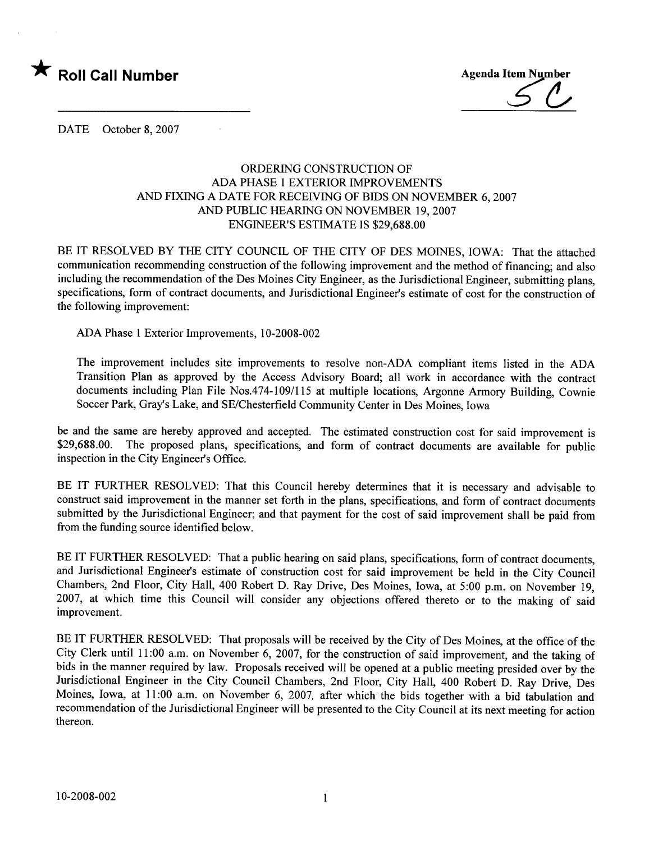

DATE October 8, 2007

## ORDERING CONSTRUCTION OF ADA PHASE 1 EXTERIOR IMPROVEMENTS AND FIXING A DATE FOR RECEIVING OF BIDS ON NOVEMBER 6, 2007 AND PUBLIC HEARING ON NOVEMBER 19, 2007 ENGINEER'S ESTIMATE IS \$29,688.00

BE IT RESOLVED BY THE CITY COUNCIL OF THE CITY OF DES MOINES, IOWA: That the attached communication recommending construction of the following improvement and the method of financing; and also including the recommendation of the Des Moines City Engineer, as the Jurisdictional Engineer, submitting plans, specifications, form of contract documents, and Jurisdictional Engineer's estimate of cost for the construction of the following improvement:

ADA Phase 1 Exterior Improvements, 10-2008-002

The improvement includes site improvements to resolve non-ADA compliant items listed in the ADA Transition Plan as approved by the Access Advisory Board; all work in accordance with the contract documents including Plan File Nos.474-109/115 at multiple locations, Argonne Armory Building, Cownie Soccer Park, Gray's Lake, and SE/Chesterfield Community Center in Des Moines, Iowa

be and the same are hereby approved and accepted. The estimated construction cost for said improvement is \$29,688.00. The proposed plans, specifications, and form of contract documents are available for public inspection in the City Engineer's Office.

BE IT FURTHER RESOLVED: That this Council hereby determines that it is necessary and advisable to construct said improvement in the manner set forth in the plans, specifications, and form of contract documents submitted by the Jurisdictional Engineer; and that payment for the cost of said improvement shall be paid from from the funding source identified below.

BE IT FURTHER RESOLVED: That a public hearing on said plans, specifications, form of contract documents, and Jurisdictional Engineer's estimate of construction cost for said improvement be held in the City Council Chambers, 2nd Floor, City Hall, 400 Robert D. Ray Drive, Des Moines, Iowa, at 5:00 p.m. on November 19, 2007, at which time this Council will consider any objections offered thereto or to the making of said improvement.

BE IT FURTHER RESOLVED: That proposals will be received by the City of Des Moines, at the office of the City Clerk until 11:00 a.m. on November 6, 2007, for the construction of said improvement, and the taking of bids in the manner required by law. Proposals received will be opened at a public meeting presided over by the Jurisdictional Engineer in the City Council Chambers, 2nd Floor, City Hall, 400 Robert D. Ray Drive, Des Moines, Iowa, at 11:00 a.m. on November 6, 2007, after which the bids together with a bid tabulation and recommendation of the Jurisdictional Engineer will be presented to the City Council at its next meeting for action thereon.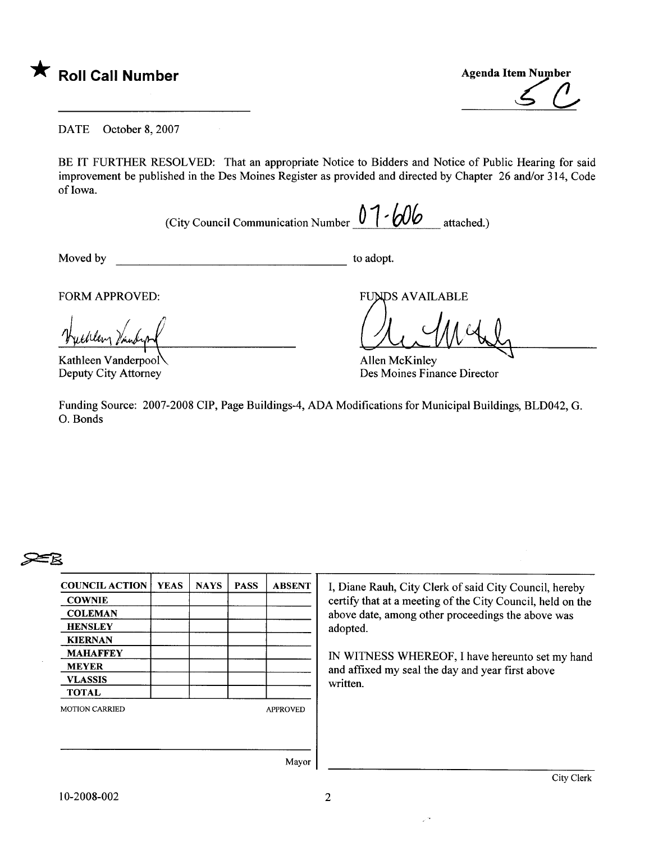

\* Roll Call Number Agenda Item Number ~ (!

DATE October 8, 2007

BE IT FURTHER RESOLVED: That an appropriate Notice to Bidders and Notice of Public Hearing for said improvement be published in the Des Moines Register as provided and directed by Chapter 26 and/or 314, Code of Iowa.

(City Council Communication Number  $0$   $1$   $\cdot$   $60$  attached.)

Moved by to adopt.

FORM APPROVED:

"Tyellery Prie

Kathleen Vanderpool Deputy City Attorney

**FUNDS AVAILABLE** 

Allen McKinley Des Moines Finance Director

Funding Source: 2007-2008 CIP, Page Buildings-4, ADA Modifications for Municipal Buildings, BLD042, G. O. Bonds

## $\geq$

| <b>COUNCIL ACTION</b> | <b>YEAS</b> | <b>NAYS</b> | <b>PASS</b> | <b>ABSENT</b>   |
|-----------------------|-------------|-------------|-------------|-----------------|
| <b>COWNIE</b>         |             |             |             |                 |
| <b>COLEMAN</b>        |             |             |             |                 |
| <b>HENSLEY</b>        |             |             |             |                 |
| <b>KIERNAN</b>        |             |             |             |                 |
| <b>MAHAFFEY</b>       |             |             |             |                 |
| <b>MEYER</b>          |             |             |             |                 |
| <b>VLASSIS</b>        |             |             |             |                 |
| <b>TOTAL</b>          |             |             |             |                 |
| <b>MOTION CARRIED</b> |             |             |             | <b>APPROVED</b> |
|                       |             |             |             |                 |
|                       |             |             |             |                 |
|                       |             |             |             | Mayor           |

I, Diane Rauh, City Clerk of said City Council, hereby certify that at a meeting of the City Council, held on the above date, among other proceedings the above was adopted.

IN WITNESS WHEREOF, I have hereunto set my hand and affixed my seal the day and year first above written.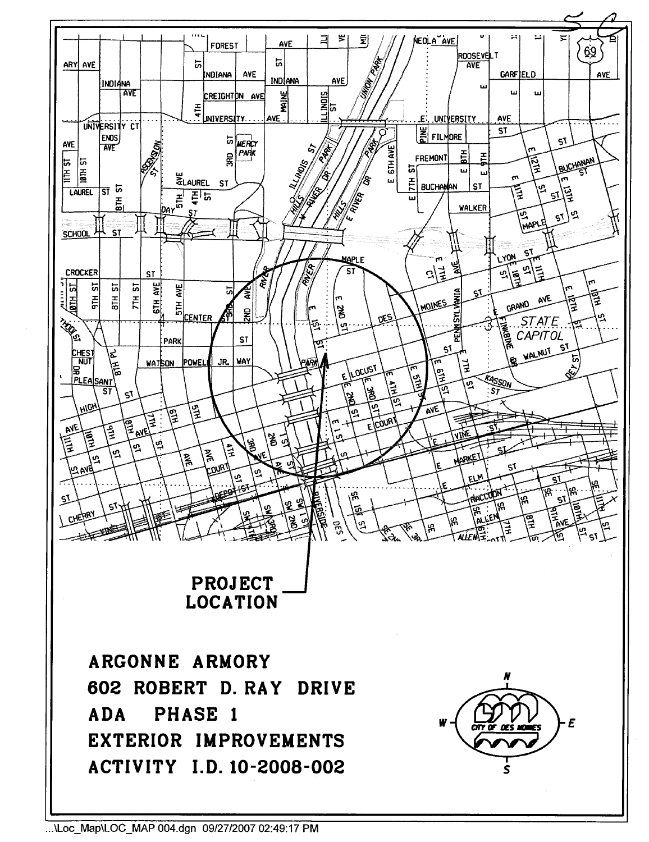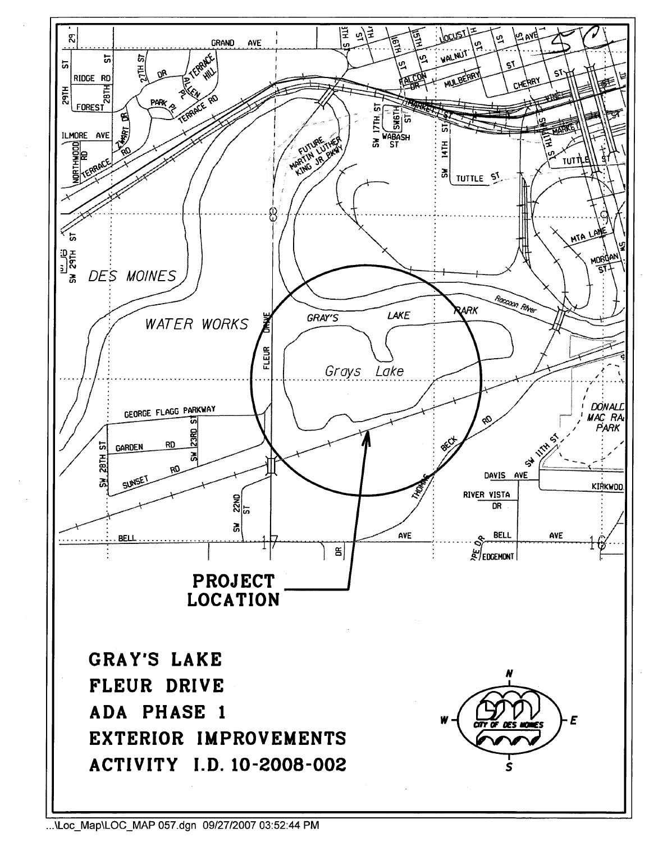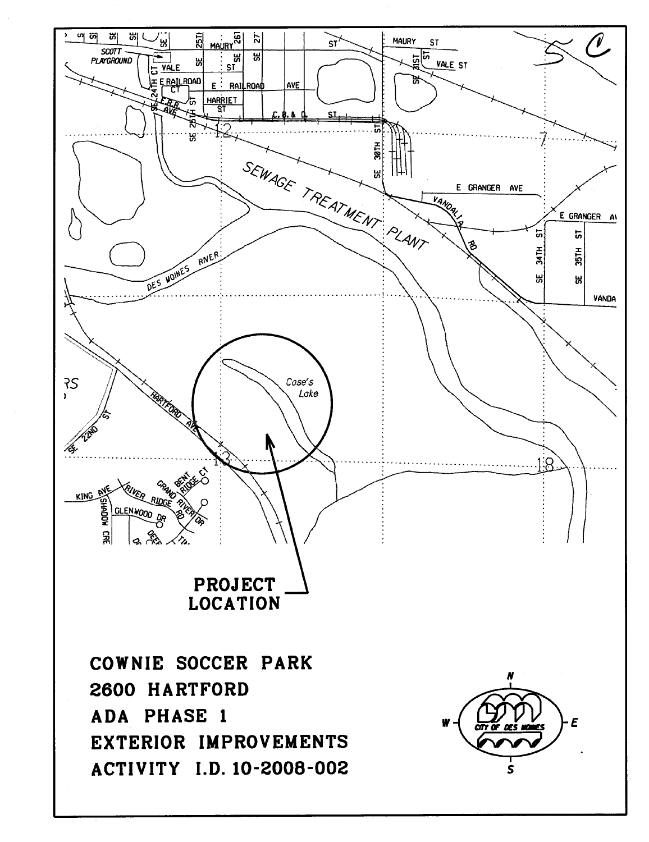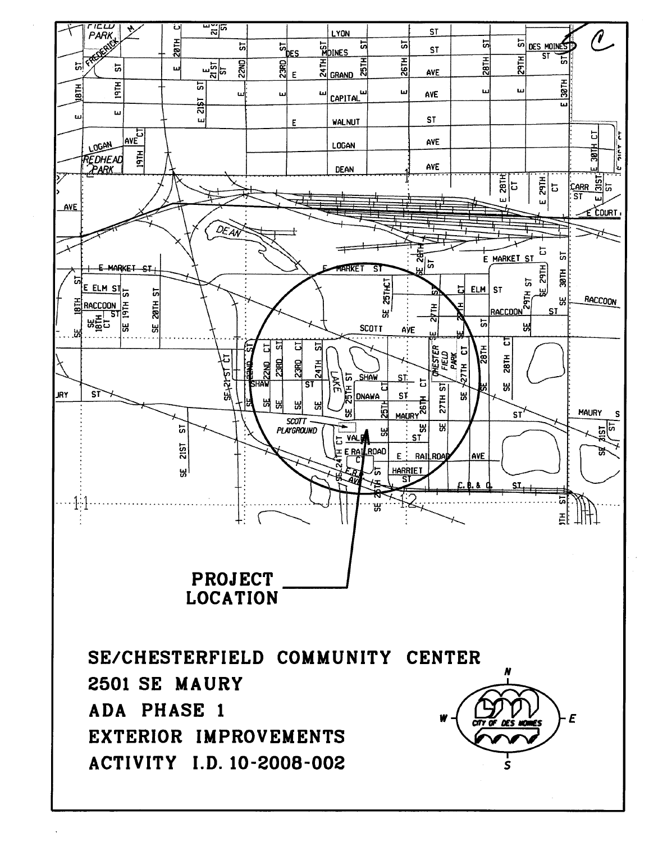